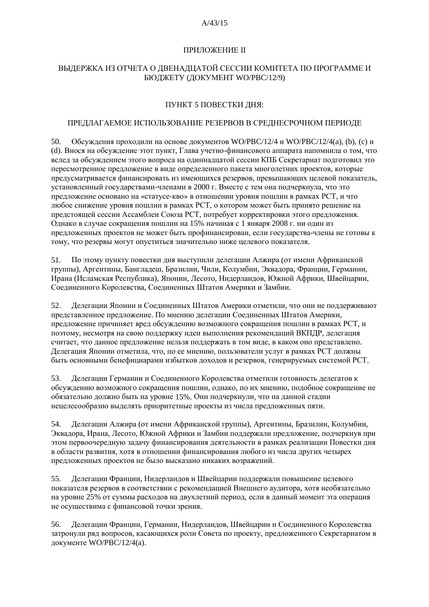#### $A/43/15$

## ПРИЛОЖЕНИЕ II

## ВЫДЕРЖКА ИЗ ОТЧЕТА О ДВЕНАДЦАТОЙ СЕССИИ КОМИТЕТА ПО ПРОГРАММЕ И БЮДЖЕТУ (ДОКУМЕНТ WO/PBC/12/9)

# ПУНКТ 5 ПОВЕСТКИ ДНЯ:

## ПРЕДЛАГАЕМОЕ ИСПОЛЬЗОВАНИЕ РЕЗЕРВОВ В СРЕДНЕСРОЧНОМ ПЕРИОДЕ

Обсуждения проходили на основе документов WO/PBC/12/4 и WO/PBC/12/4(a), (b), (c) и 50. (d). Внося на обсуждение этот пункт, Глава учетно-финансового аппарата напомнила о том, что вслед за обсуждением этого вопроса на одинналиатой сессии КПБ Секретариат подготовил это пересмотренное предложение в виде определенного пакета многолетних проектов, которые предусматривается финансировать из имеющихся резервов, превышающих целевой показатель, установленный государствами-членами в 2000 г. Вместе с тем она подчеркнула, что это предложение основано на «статусе-кво» в отношении уровня пошлин в рамках РСТ, и что любое снижение уровня пошлин в рамках РСТ, о котором может быть принято решение на предстоящей сессии Ассамблеи Союза РСТ, потребует корректировки этого предложения. Однако в случае сокращения пошлин на 15% начиная с 1 января 2008 г. ни один из предложенных проектов не может быть профинансирован, если государства-члены не готовы к тому, что резервы могут опуститься значительно ниже целевого показателя.

51. По этому пункту повестки дня выступили делегации Алжира (от имени Африканской группы), Аргентины, Бангладеш, Бразилии, Чили, Колумбии, Эквадора, Франции, Германии, Ирана (Исламская Республика), Японии, Лесото, Нидерландов, Южной Африки, Швейцарии, Соединенного Королевства, Соединенных Штатов Америки и Замбии.

52. Делегации Японии и Соединенных Штатов Америки отметили, что они не поддерживают представленное предложение. По мнению делегации Соединенных Штатов Америки, предложение причиняет вред обсуждению возможного сокращения пошлин в рамках РСТ, и поэтому, несмотря на свою поддержку идеи выполнения рекомендаций ВКПДР, делегация считает, что данное предложение нельзя поддержать в том виде, в каком оно представлено. Делегация Японии отметила, что, по ее мнению, пользователи услуг в рамках РСТ должны быть основными бенефициарами избытков доходов и резервов, генерируемых системой РСТ.

53. Делегации Германии и Соединенного Королевства отметили готовность делегатов к обсуждению возможного сокращения пошлин, однако, по их мнению, подобное сокращение не обязательно должно быть на уровне 15%. Они подчеркнули, что на данной стадии нецелесообразно выделять приоритетные проекты из числа предложенных пяти.

Лелегации Алжира (от имени Африканской группы), Аргентины, Бразилии, Колумбии, 54. Эквалора, Ирана, Лесото, Южной Африки и Замбии поллержали предложение, подчеркнув при этом первоочередную задачу финансирования деятельности в рамках реализации Повестки дня в области развития, хотя в отношении финансирования любого из числа других четырех предложенных проектов не было высказано никаких возражений.

Делегации Франции, Нидерландов и Швейцарии поддержали повышение целевого 55. показателя резервов в соответствии с рекомендацией Внешнего аудитора, хотя необязательно на уровне 25% от суммы расходов на двухлетний период, если в данный момент эта операция не осушествима с финансовой точки зрения.

56. Делегации Франции, Германии, Нидерландов, Швейцарии и Соединенного Королевства затронули ряд вопросов, касающихся роли Совета по проекту, предложенного Секретариатом в документе WO/PBC/12/4(а).